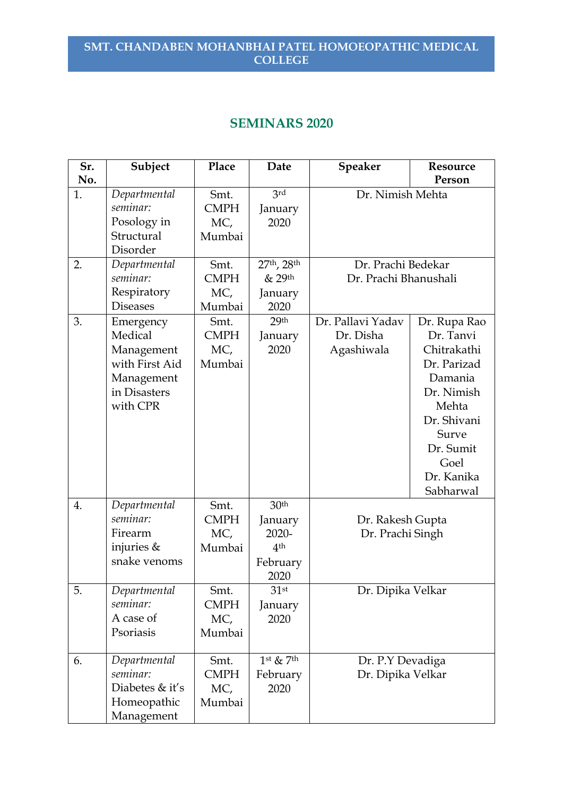# **SEMINARS 2020**

| Sr.<br>No. | Subject                                                                                        | Place                                | Date                                                                           | Speaker                                      | Resource                                                                                                                                                          |
|------------|------------------------------------------------------------------------------------------------|--------------------------------------|--------------------------------------------------------------------------------|----------------------------------------------|-------------------------------------------------------------------------------------------------------------------------------------------------------------------|
| 1.         | Departmental<br>seminar:<br>Posology in<br>Structural<br>Disorder                              | Smt.<br><b>CMPH</b><br>MC,<br>Mumbai | 3rd<br>January<br>2020                                                         | Dr. Nimish Mehta                             | Person                                                                                                                                                            |
| 2.         | Departmental<br>seminar:<br>Respiratory<br><b>Diseases</b>                                     | Smt.<br><b>CMPH</b><br>MC,<br>Mumbai | 27th, 28th<br>& 29th<br>January<br>2020                                        | Dr. Prachi Bedekar<br>Dr. Prachi Bhanushali  |                                                                                                                                                                   |
| 3.         | Emergency<br>Medical<br>Management<br>with First Aid<br>Management<br>in Disasters<br>with CPR | Smt.<br><b>CMPH</b><br>MC,<br>Mumbai | 29 <sup>th</sup><br>January<br>2020                                            | Dr. Pallavi Yadav<br>Dr. Disha<br>Agashiwala | Dr. Rupa Rao<br>Dr. Tanvi<br>Chitrakathi<br>Dr. Parizad<br>Damania<br>Dr. Nimish<br>Mehta<br>Dr. Shivani<br>Surve<br>Dr. Sumit<br>Goel<br>Dr. Kanika<br>Sabharwal |
| 4.         | Departmental<br>seminar:<br>Firearm<br>injuries &<br>snake venoms                              | Smt.<br><b>CMPH</b><br>MC,<br>Mumbai | 30 <sup>th</sup><br>January<br>$2020 -$<br>4 <sup>th</sup><br>February<br>2020 | Dr. Rakesh Gupta<br>Dr. Prachi Singh         |                                                                                                                                                                   |
| 5.         | Departmental<br>seminar:<br>A case of<br>Psoriasis                                             | Smt.<br><b>CMPH</b><br>MC,<br>Mumbai | 31st<br>January<br>2020                                                        | Dr. Dipika Velkar                            |                                                                                                                                                                   |
| 6.         | Departmental<br>seminar:<br>Diabetes & it's<br>Homeopathic<br>Management                       | Smt.<br><b>CMPH</b><br>MC,<br>Mumbai | $1st$ & 7 <sup>th</sup><br>February<br>2020                                    | Dr. P.Y Devadiga<br>Dr. Dipika Velkar        |                                                                                                                                                                   |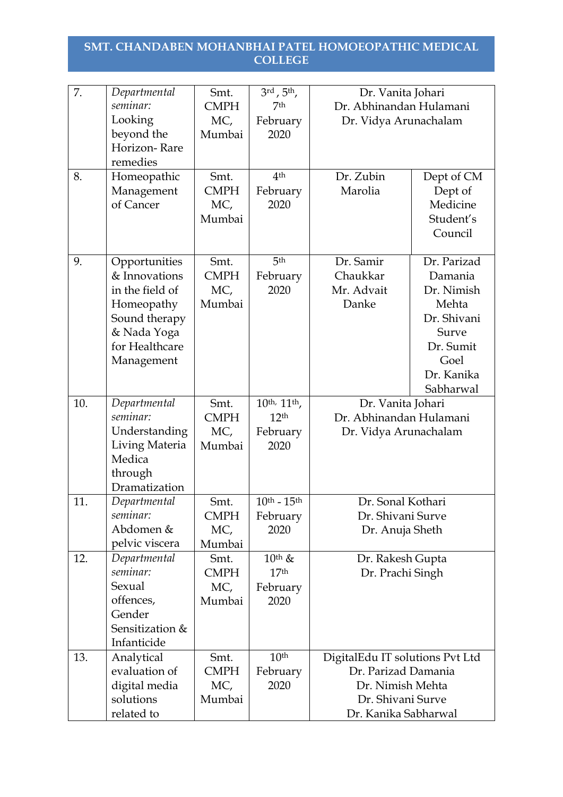| 7.  | Departmental    | Smt.        | $3^{\text{rd}}$ , $5^{\text{th}}$ , | Dr. Vanita Johari               |             |
|-----|-----------------|-------------|-------------------------------------|---------------------------------|-------------|
|     | seminar:        | <b>CMPH</b> | 7th                                 | Dr. Abhinandan Hulamani         |             |
|     | Looking         | MC,         | February                            | Dr. Vidya Arunachalam           |             |
|     | beyond the      | Mumbai      | 2020                                |                                 |             |
|     | Horizon-Rare    |             |                                     |                                 |             |
|     | remedies        |             |                                     |                                 |             |
| 8.  | Homeopathic     | Smt.        | 4 <sup>th</sup>                     | Dr. Zubin                       | Dept of CM  |
|     | Management      | <b>CMPH</b> | February                            | Marolia                         | Dept of     |
|     | of Cancer       | MC,         | 2020                                |                                 | Medicine    |
|     |                 | Mumbai      |                                     |                                 | Student's   |
|     |                 |             |                                     |                                 | Council     |
|     |                 |             |                                     |                                 |             |
| 9.  | Opportunities   | Smt.        | 5 <sup>th</sup>                     | Dr. Samir                       | Dr. Parizad |
|     | & Innovations   | <b>CMPH</b> | February                            | Chaukkar                        | Damania     |
|     | in the field of | MC,         | 2020                                | Mr. Advait                      | Dr. Nimish  |
|     | Homeopathy      | Mumbai      |                                     | Danke                           | Mehta       |
|     | Sound therapy   |             |                                     |                                 | Dr. Shivani |
|     | & Nada Yoga     |             |                                     |                                 | Surve       |
|     | for Healthcare  |             |                                     |                                 | Dr. Sumit   |
|     | Management      |             |                                     |                                 | Goel        |
|     |                 |             |                                     |                                 | Dr. Kanika  |
|     |                 |             |                                     |                                 | Sabharwal   |
| 10. | Departmental    | Smt.        | 10th, 11th,                         | Dr. Vanita Johari               |             |
|     | seminar:        | <b>CMPH</b> | 12 <sup>th</sup>                    | Dr. Abhinandan Hulamani         |             |
|     | Understanding   | MC,         | February                            | Dr. Vidya Arunachalam           |             |
|     | Living Materia  | Mumbai      | 2020                                |                                 |             |
|     | Medica          |             |                                     |                                 |             |
|     | through         |             |                                     |                                 |             |
|     | Dramatization   |             |                                     |                                 |             |
| 11. | Departmental    | Smt.        | $10^{th}$ - $15^{th}$               | Dr. Sonal Kothari               |             |
|     | seminar:        | <b>CMPH</b> | February                            | Dr. Shivani Surve               |             |
|     | Abdomen &       | MC,         | 2020                                | Dr. Anuja Sheth                 |             |
|     | pelvic viscera  | Mumbai      |                                     |                                 |             |
| 12. | Departmental    | Smt.        | $10$ <sup>th</sup> &                | Dr. Rakesh Gupta                |             |
|     | seminar:        | <b>CMPH</b> | 17 <sup>th</sup>                    | Dr. Prachi Singh                |             |
|     | Sexual          | MC,         | February                            |                                 |             |
|     | offences,       | Mumbai      | 2020                                |                                 |             |
|     | Gender          |             |                                     |                                 |             |
|     | Sensitization & |             |                                     |                                 |             |
|     | Infanticide     |             |                                     |                                 |             |
| 13. | Analytical      | Smt.        | 10 <sup>th</sup>                    | DigitalEdu IT solutions Pvt Ltd |             |
|     | evaluation of   | <b>CMPH</b> | February                            | Dr. Parizad Damania             |             |
|     | digital media   | MC,         | 2020                                | Dr. Nimish Mehta                |             |
|     | solutions       | Mumbai      |                                     | Dr. Shivani Surve               |             |
|     | related to      |             |                                     | Dr. Kanika Sabharwal            |             |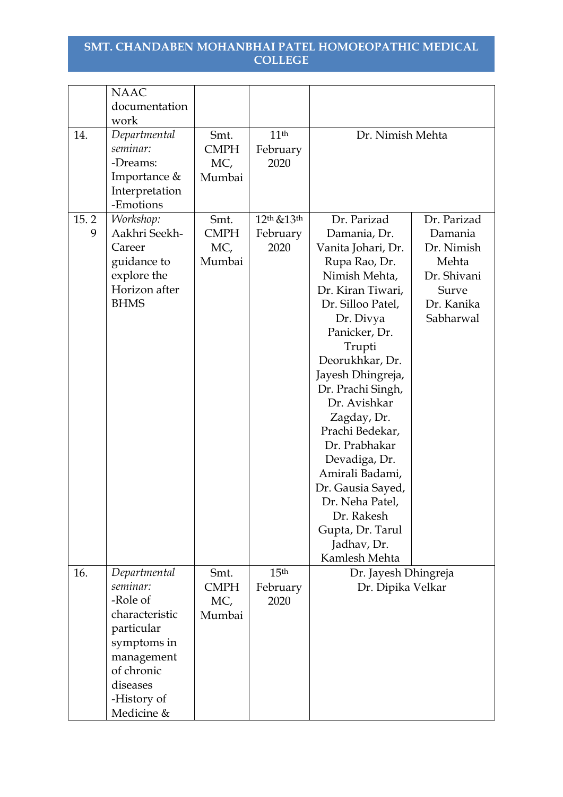|      | <b>NAAC</b>    |             |                                     |                      |             |
|------|----------------|-------------|-------------------------------------|----------------------|-------------|
|      | documentation  |             |                                     |                      |             |
|      | work           |             |                                     |                      |             |
| 14.  | Departmental   | Smt.        | 11 <sup>th</sup>                    | Dr. Nimish Mehta     |             |
|      | seminar:       | <b>CMPH</b> | February                            |                      |             |
|      | -Dreams:       | MC,         | 2020                                |                      |             |
|      | Importance &   | Mumbai      |                                     |                      |             |
|      | Interpretation |             |                                     |                      |             |
|      | -Emotions      |             |                                     |                      |             |
| 15.2 | Workshop:      | Smt.        | 12 <sup>th</sup> & 13 <sup>th</sup> | Dr. Parizad          | Dr. Parizad |
| 9    | Aakhri Seekh-  | <b>CMPH</b> | February                            | Damania, Dr.         | Damania     |
|      | Career         | MC,         | 2020                                |                      | Dr. Nimish  |
|      |                |             |                                     | Vanita Johari, Dr.   |             |
|      | guidance to    | Mumbai      |                                     | Rupa Rao, Dr.        | Mehta       |
|      | explore the    |             |                                     | Nimish Mehta,        | Dr. Shivani |
|      | Horizon after  |             |                                     | Dr. Kiran Tiwari,    | Surve       |
|      | <b>BHMS</b>    |             |                                     | Dr. Silloo Patel,    | Dr. Kanika  |
|      |                |             |                                     | Dr. Divya            | Sabharwal   |
|      |                |             |                                     | Panicker, Dr.        |             |
|      |                |             |                                     | Trupti               |             |
|      |                |             |                                     | Deorukhkar, Dr.      |             |
|      |                |             |                                     | Jayesh Dhingreja,    |             |
|      |                |             |                                     | Dr. Prachi Singh,    |             |
|      |                |             |                                     | Dr. Avishkar         |             |
|      |                |             |                                     | Zagday, Dr.          |             |
|      |                |             |                                     | Prachi Bedekar,      |             |
|      |                |             |                                     | Dr. Prabhakar        |             |
|      |                |             |                                     | Devadiga, Dr.        |             |
|      |                |             |                                     | Amirali Badami,      |             |
|      |                |             |                                     | Dr. Gausia Sayed,    |             |
|      |                |             |                                     | Dr. Neha Patel,      |             |
|      |                |             |                                     | Dr. Rakesh           |             |
|      |                |             |                                     | Gupta, Dr. Tarul     |             |
|      |                |             |                                     | Jadhav, Dr.          |             |
|      |                |             |                                     | Kamlesh Mehta        |             |
| 16.  | Departmental   | Smt.        | 15 <sup>th</sup>                    | Dr. Jayesh Dhingreja |             |
|      | seminar:       | <b>CMPH</b> | February                            | Dr. Dipika Velkar    |             |
|      | -Role of       |             | 2020                                |                      |             |
|      | characteristic | MC,         |                                     |                      |             |
|      |                | Mumbai      |                                     |                      |             |
|      | particular     |             |                                     |                      |             |
|      | symptoms in    |             |                                     |                      |             |
|      | management     |             |                                     |                      |             |
|      | of chronic     |             |                                     |                      |             |
|      | diseases       |             |                                     |                      |             |
|      | -History of    |             |                                     |                      |             |
|      | Medicine &     |             |                                     |                      |             |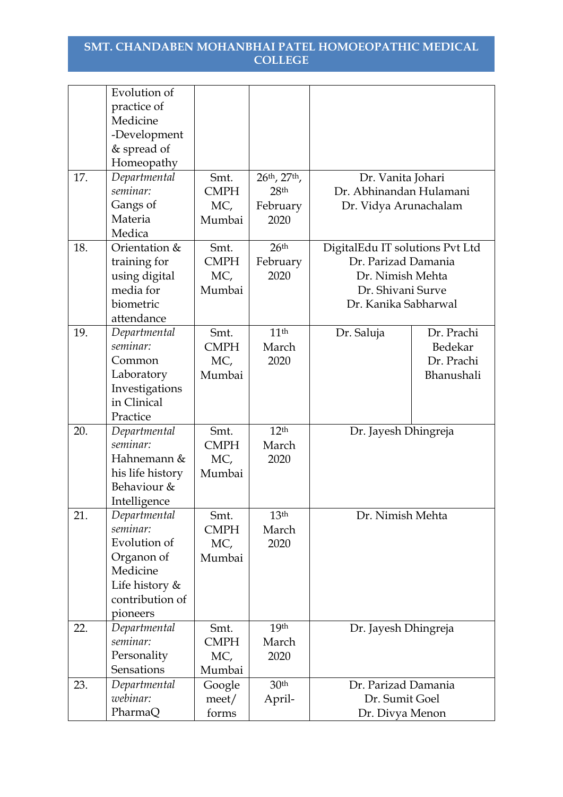|     | Evolution of              |             |                         |                                 |            |
|-----|---------------------------|-------------|-------------------------|---------------------------------|------------|
|     | practice of               |             |                         |                                 |            |
|     | Medicine                  |             |                         |                                 |            |
|     | -Development              |             |                         |                                 |            |
|     | & spread of               |             |                         |                                 |            |
|     | Homeopathy                |             |                         |                                 |            |
| 17. | Departmental              | Smt.        | $26^{th}$ , $27^{th}$ , | Dr. Vanita Johari               |            |
|     | seminar:                  | <b>CMPH</b> | 28 <sup>th</sup>        | Dr. Abhinandan Hulamani         |            |
|     | Gangs of                  | MC,         | February                | Dr. Vidya Arunachalam           |            |
|     | Materia                   | Mumbai      | 2020                    |                                 |            |
|     | Medica                    |             |                         |                                 |            |
| 18. | Orientation &             | Smt.        | 26 <sup>th</sup>        | DigitalEdu IT solutions Pvt Ltd |            |
|     | training for              | <b>CMPH</b> | February                | Dr. Parizad Damania             |            |
|     | using digital             | MC,         | 2020                    | Dr. Nimish Mehta                |            |
|     | media for                 | Mumbai      |                         | Dr. Shivani Surve               |            |
|     | biometric                 |             |                         | Dr. Kanika Sabharwal            |            |
|     | attendance                |             |                         |                                 |            |
| 19. | Departmental              | Smt.        | 11 <sup>th</sup>        | Dr. Saluja                      | Dr. Prachi |
|     | seminar:                  | <b>CMPH</b> | March                   |                                 | Bedekar    |
|     | Common                    | MC,         | 2020                    |                                 | Dr. Prachi |
|     | Laboratory                | Mumbai      |                         |                                 | Bhanushali |
|     | Investigations            |             |                         |                                 |            |
|     | in Clinical               |             |                         |                                 |            |
|     | Practice                  |             |                         |                                 |            |
| 20. | Departmental              | Smt.        | 12 <sup>th</sup>        | Dr. Jayesh Dhingreja            |            |
|     | seminar:                  | <b>CMPH</b> | March                   |                                 |            |
|     | Hahnemann &               | MC,         | 2020                    |                                 |            |
|     | his life history          | Mumbai      |                         |                                 |            |
|     | Behaviour &               |             |                         |                                 |            |
|     | Intelligence              |             |                         |                                 |            |
| 21. | Departmental              | Smt.        | 13 <sup>th</sup>        | Dr. Nimish Mehta                |            |
|     | seminar:                  | <b>CMPH</b> | March                   |                                 |            |
|     | Evolution of              | MC,         | 2020                    |                                 |            |
|     | Organon of                | Mumbai      |                         |                                 |            |
|     | Medicine                  |             |                         |                                 |            |
|     | Life history $&$          |             |                         |                                 |            |
|     | contribution of           |             |                         |                                 |            |
|     | pioneers                  |             |                         |                                 |            |
| 22. | Departmental<br>seminar:  | Smt.        | 19th                    | Dr. Jayesh Dhingreja            |            |
|     |                           | <b>CMPH</b> | March                   |                                 |            |
|     | Personality<br>Sensations | MC,         | 2020                    |                                 |            |
|     |                           | Mumbai      | 30 <sup>th</sup>        |                                 |            |
| 23. | Departmental<br>webinar:  | Google      |                         | Dr. Parizad Damania             |            |
|     |                           | meet/       | April-                  | Dr. Sumit Goel                  |            |
|     | PharmaQ                   | forms       |                         | Dr. Divya Menon                 |            |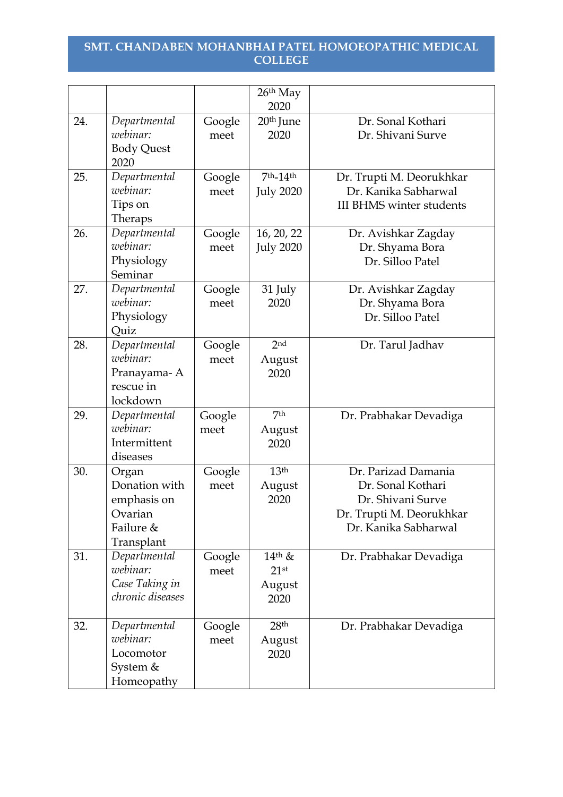|     |                                                                             |                | $26th$ May<br>2020                                |                                                                                                                   |
|-----|-----------------------------------------------------------------------------|----------------|---------------------------------------------------|-------------------------------------------------------------------------------------------------------------------|
| 24. | Departmental<br>webinar:<br><b>Body Quest</b><br>2020                       | Google<br>meet | 20 <sup>th</sup> June<br>2020                     | Dr. Sonal Kothari<br>Dr. Shivani Surve                                                                            |
| 25. | Departmental<br>webinar:<br>Tips on<br>Theraps                              | Google<br>meet | 7th_14th<br><b>July 2020</b>                      | Dr. Trupti M. Deorukhkar<br>Dr. Kanika Sabharwal<br><b>III BHMS winter students</b>                               |
| 26. | Departmental<br>webinar:<br>Physiology<br>Seminar                           | Google<br>meet | 16, 20, 22<br><b>July 2020</b>                    | Dr. Avishkar Zagday<br>Dr. Shyama Bora<br>Dr. Silloo Patel                                                        |
| 27. | Departmental<br>webinar:<br>Physiology<br>Quiz                              | Google<br>meet | 31 July<br>2020                                   | Dr. Avishkar Zagday<br>Dr. Shyama Bora<br>Dr. Silloo Patel                                                        |
| 28. | Departmental<br>webinar:<br>Pranayama-A<br>rescue in<br>lockdown            | Google<br>meet | 2 <sub>nd</sub><br>August<br>2020                 | Dr. Tarul Jadhav                                                                                                  |
| 29. | Departmental<br>webinar:<br>Intermittent<br>diseases                        | Google<br>meet | 7th<br>August<br>2020                             | Dr. Prabhakar Devadiga                                                                                            |
| 30. | Organ<br>Donation with<br>emphasis on<br>Ovarian<br>Failure &<br>Transplant | Google<br>meet | 13 <sup>th</sup><br>August<br>2020                | Dr. Parizad Damania<br>Dr. Sonal Kothari<br>Dr. Shivani Surve<br>Dr. Trupti M. Deorukhkar<br>Dr. Kanika Sabharwal |
| 31. | Departmental<br>webinar:<br>Case Taking in<br>chronic diseases              | Google<br>meet | $14$ <sup>th</sup> &<br>$21$ st<br>August<br>2020 | Dr. Prabhakar Devadiga                                                                                            |
| 32. | Departmental<br>webinar:<br>Locomotor<br>System &<br>Homeopathy             | Google<br>meet | 28 <sup>th</sup><br>August<br>2020                | Dr. Prabhakar Devadiga                                                                                            |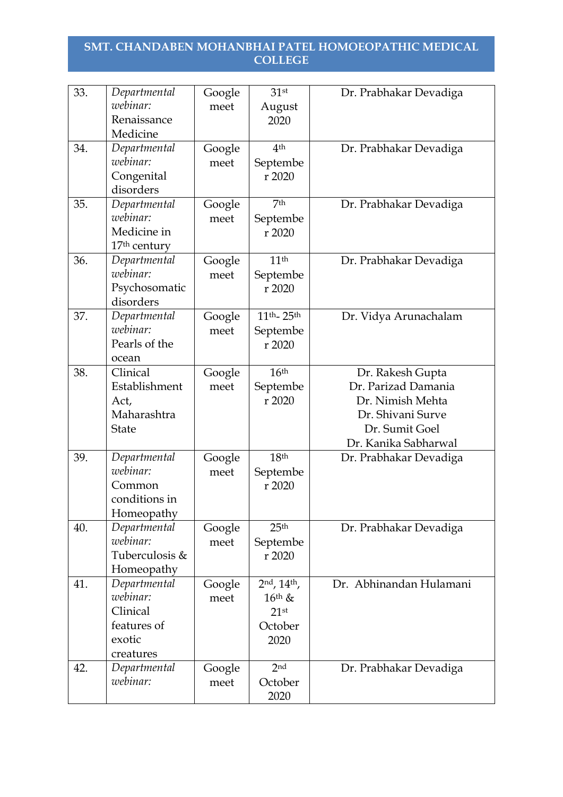| 33. | Departmental<br>webinar:<br>Renaissance<br>Medicine                        | Google<br>meet | 31 <sup>st</sup><br>August<br>2020                                           | Dr. Prabhakar Devadiga                                                                                                     |
|-----|----------------------------------------------------------------------------|----------------|------------------------------------------------------------------------------|----------------------------------------------------------------------------------------------------------------------------|
| 34. | Departmental<br>webinar:<br>Congenital<br>disorders                        | Google<br>meet | 4 <sup>th</sup><br>Septembe<br>r 2020                                        | Dr. Prabhakar Devadiga                                                                                                     |
| 35. | Departmental<br>webinar:<br>Medicine in<br>17 <sup>th</sup> century        | Google<br>meet | 7 <sup>th</sup><br>Septembe<br>r 2020                                        | Dr. Prabhakar Devadiga                                                                                                     |
| 36. | Departmental<br>webinar:<br>Psychosomatic<br>disorders                     | Google<br>meet | 11 <sup>th</sup><br>Septembe<br>r 2020                                       | Dr. Prabhakar Devadiga                                                                                                     |
| 37. | Departmental<br>webinar:<br>Pearls of the<br>ocean                         | Google<br>meet | 11th <sub>-25th</sub><br>Septembe<br>r 2020                                  | Dr. Vidya Arunachalam                                                                                                      |
| 38. | Clinical<br>Establishment<br>Act,<br>Maharashtra<br><b>State</b>           | Google<br>meet | 16 <sup>th</sup><br>Septembe<br>r 2020                                       | Dr. Rakesh Gupta<br>Dr. Parizad Damania<br>Dr. Nimish Mehta<br>Dr. Shivani Surve<br>Dr. Sumit Goel<br>Dr. Kanika Sabharwal |
| 39. | Departmental<br>webinar:<br>Common<br>conditions in<br>Homeopathy          | Google<br>meet | 18 <sup>th</sup><br>Septembe<br>r 2020                                       | Dr. Prabhakar Devadiga                                                                                                     |
| 40. | Departmental<br>webinar:<br>Tuberculosis &<br>Homeopathy                   | Google<br>meet | 25 <sup>th</sup><br>Septembe<br>r 2020                                       | Dr. Prabhakar Devadiga                                                                                                     |
| 41. | Departmental<br>webinar:<br>Clinical<br>features of<br>exotic<br>creatures | Google<br>meet | $2^{nd}$ , $14^{th}$ ,<br>$16$ <sup>th</sup> &<br>$21$ st<br>October<br>2020 | Dr. Abhinandan Hulamani                                                                                                    |
| 42. | Departmental<br>webinar:                                                   | Google<br>meet | 2 <sub>nd</sub><br>October<br>2020                                           | Dr. Prabhakar Devadiga                                                                                                     |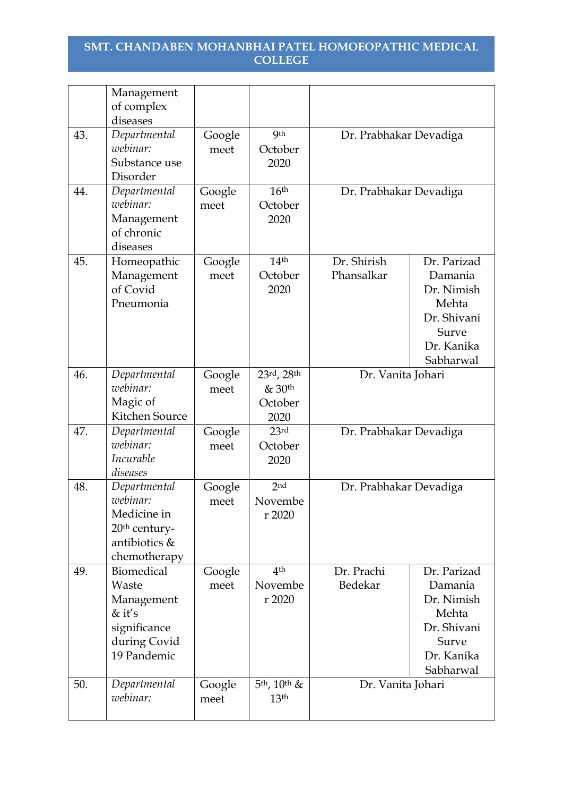|     | Management<br>of complex<br>diseases                                                                  |                |                                         |                           |                                                                                                  |
|-----|-------------------------------------------------------------------------------------------------------|----------------|-----------------------------------------|---------------------------|--------------------------------------------------------------------------------------------------|
| 43. | Departmental<br>webinar:<br>Substance use<br>Disorder                                                 | Google<br>meet | <b>9th</b><br>October<br>2020           | Dr. Prabhakar Devadiga    |                                                                                                  |
| 44. | Departmental<br>webinar:<br>Management<br>of chronic<br>diseases                                      | Google<br>meet | 16 <sup>th</sup><br>October<br>2020     | Dr. Prabhakar Devadiga    |                                                                                                  |
| 45. | Homeopathic<br>Management<br>of Covid<br>Pneumonia                                                    | Google<br>meet | 14 <sup>th</sup><br>October<br>2020     | Dr. Shirish<br>Phansalkar | Dr. Parizad<br>Damania<br>Dr. Nimish<br>Mehta<br>Dr. Shivani<br>Surve<br>Dr. Kanika<br>Sabharwal |
| 46. | Departmental<br>webinar:<br>Magic of<br>Kitchen Source                                                | Google<br>meet | 23rd, 28th<br>& 30th<br>October<br>2020 | Dr. Vanita Johari         |                                                                                                  |
| 47. | Departmental<br>webinar:<br>Incurable<br>diseases                                                     | Google<br>meet | 23rd<br>October<br>2020                 | Dr. Prabhakar Devadiga    |                                                                                                  |
| 48. | Departmental<br>webinar:<br>Medicine in<br>20 <sup>th</sup> century-<br>antibiotics &<br>chemotherapy | Google<br>meet | 2 <sub>nd</sub><br>Novembe<br>r 2020    | Dr. Prabhakar Devadiga    |                                                                                                  |
| 49. | <b>Biomedical</b><br>Waste<br>Management<br>$&$ it's<br>significance<br>during Covid<br>19 Pandemic   | Google<br>meet | 4 <sup>th</sup><br>Novembe<br>r 2020    | Dr. Prachi<br>Bedekar     | Dr. Parizad<br>Damania<br>Dr. Nimish<br>Mehta<br>Dr. Shivani<br>Surve<br>Dr. Kanika<br>Sabharwal |
| 50. | Departmental<br>webinar:                                                                              | Google<br>meet | $5th$ , $10th$ &<br>13 <sup>th</sup>    | Dr. Vanita Johari         |                                                                                                  |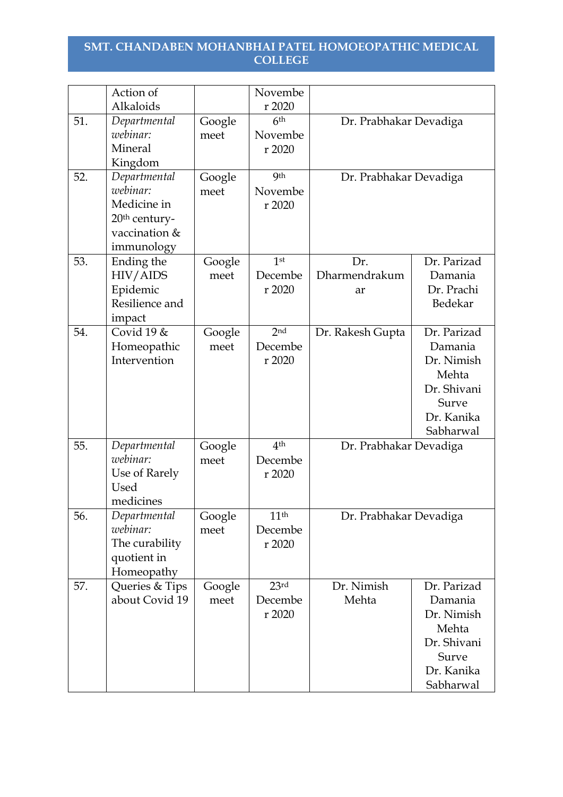|     | Action of<br>Alkaloids                                                                              |                | Novembe<br>r 2020                     |                            |                                                                                                  |
|-----|-----------------------------------------------------------------------------------------------------|----------------|---------------------------------------|----------------------------|--------------------------------------------------------------------------------------------------|
| 51. | Departmental<br>webinar:<br>Mineral<br>Kingdom                                                      | Google<br>meet | 6 <sup>th</sup><br>Novembe<br>r 2020  | Dr. Prabhakar Devadiga     |                                                                                                  |
| 52. | Departmental<br>webinar:<br>Medicine in<br>20 <sup>th</sup> century-<br>vaccination &<br>immunology | Google<br>meet | <b>9th</b><br>Novembe<br>r 2020       | Dr. Prabhakar Devadiga     |                                                                                                  |
| 53. | Ending the<br>HIV/AIDS<br>Epidemic<br>Resilience and<br>impact                                      | Google<br>meet | 1 <sup>st</sup><br>Decembe<br>r 2020  | Dr.<br>Dharmendrakum<br>ar | Dr. Parizad<br>Damania<br>Dr. Prachi<br>Bedekar                                                  |
| 54. | Covid 19 $\&$<br>Homeopathic<br>Intervention                                                        | Google<br>meet | 2 <sub>nd</sub><br>Decembe<br>r 2020  | Dr. Rakesh Gupta           | Dr. Parizad<br>Damania<br>Dr. Nimish<br>Mehta<br>Dr. Shivani<br>Surve<br>Dr. Kanika<br>Sabharwal |
| 55. | Departmental<br>webinar:<br>Use of Rarely<br><b>Used</b><br>medicines                               | Google<br>meet | 4 <sup>th</sup><br>Decembe<br>r 2020  | Dr. Prabhakar Devadiga     |                                                                                                  |
| 56. | Departmental<br>webinar:<br>The curability<br>quotient in<br>Homeopathy                             | Google<br>meet | 11 <sup>th</sup><br>Decembe<br>r 2020 | Dr. Prabhakar Devadiga     |                                                                                                  |
| 57. | Queries & Tips<br>about Covid 19                                                                    | Google<br>meet | 23rd<br>Decembe<br>r 2020             | Dr. Nimish<br>Mehta        | Dr. Parizad<br>Damania<br>Dr. Nimish<br>Mehta<br>Dr. Shivani<br>Surve<br>Dr. Kanika<br>Sabharwal |